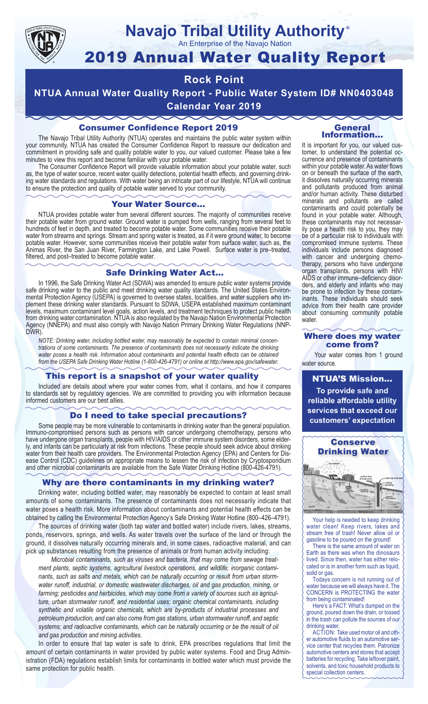

#### **Navajo Tribal Utility Authority** ®

An Enterprise of the Navajo Nation

# 2019 Annual Water Quality Report

### **Rock Point**

**NTUA Annual Water Quality Report - Public Water System ID# NN0403048 Calendar Year 2019**

#### Consumer Confidence Report 2019

The Navajo Tribal Utility Authority (NTUA) operates and maintains the public water system within your community. NTUA has created the Consumer Confidence Report to reassure our dedication and commitment in providing safe and quality potable water to you, our valued customer. Please take a few minutes to view this report and become familiar with your potable water.

The Consumer Confidence Report will provide valuable information about your potable water, such as, the type of water source, recent water quality detections, potential health effects, and governing drinking water standards and regulations. With water being an intricate part of our lifestyle, NTUA will continue to ensure the protection and quality of potable water served to your community.

#### Your Water Source…

NTUA provides potable water from several different sources. The majority of communities receive their potable water from ground water. Ground water is pumped from wells, ranging from several feet to hundreds of feet in depth, and treated to become potable water. Some communities receive their potable water from streams and springs. Stream and spring water is treated, as if it were ground water, to become potable water. However, some communities receive their potable water from surface water, such as, the Animas River, the San Juan River, Farmington Lake, and Lake Powell. Surface water is pre–treated, filtered, and post–treated to become potable water.

#### Safe Drinking Water Act…

In 1996, the Safe Drinking Water Act (SDWA) was amended to ensure public water systems provide safe drinking water to the public and meet drinking water quality standards. The United States Environmental Protection Agency (USEPA) is governed to oversee states, localities, and water suppliers who implement these drinking water standards. Pursuant to SDWA, USEPA established maximum contaminant levels, maximum contaminant level goals, action levels, and treatment techniques to protect public health from drinking water contamination. NTUA is also regulated by the Navajo Nation Environmental Protection Agency (NNEPA) and must also comply with Navajo Nation Primary Drinking Water Regulations (NNP-DWR)

*NOTE: Drinking water, including bottled water, may reasonably be expected to contain minimal concentrations of some contaminants. The presence of contaminants does not necessarily indicate the drinking water poses a health risk. Information about contaminants and potential health effects can be obtained from the USEPA Safe Drinking Water Hotline (1-800-426-4791) or online at http://www.epa.gov/safewater.*

#### This report is a snapshot of your water quality

Included are details about where your water comes from, what it contains, and how it compares to standards set by regulatory agencies. We are committed to providing you with information because informed customers are our best allies.

#### Do I need to take special precautions?

Some people may be more vulnerable to contaminants in drinking water than the general population. Immuno-compromised persons such as persons with cancer undergoing chemotherapy, persons who have undergone organ transplants, people with HIV/AIDS or other immune system disorders, some elderly, and infants can be particularly at risk from infections. These people should seek advice about drinking water from their health care providers. The Environmental Protection Agency (EPA) and Centers for Disease Control (CDC) guidelines on appropriate means to lessen the risk of infection by Cryptosporidium and other microbial contaminants are available from the Safe Water Drinking Hotline (800-426-4791).

#### Why are there contaminants in my drinking water?

Drinking water, including bottled water, may reasonably be expected to contain at least small amounts of some contaminants. The presence of contaminants does not necessarily indicate that water poses a health risk. More information about contaminants and potential health effects can be obtained by calling the Environmental Protection Agency's Safe Drinking Water Hotline (800–426–4791).

The sources of drinking water (both tap water and bottled water) include rivers, lakes, streams, ponds, reservoirs, springs, and wells. As water travels over the surface of the land or through the ground, it dissolves naturally occurring minerals and, in some cases, radioactive material, and can pick up substances resulting from the presence of animals or from human activity including:

*Microbial contaminants, such as viruses and bacteria, that may come from sewage treatment plants, septic systems, agricultural livestock operations, and wildlife; inorganic contaminants, such as salts and metals, which can be naturally occurring or result from urban stormwater runoff, industrial, or domestic wastewater discharges, oil and gas production, mining, or farming; pesticides and herbicides, which may come from a variety of sources such as agriculture, urban stormwater runoff, and residential uses; organic chemical contaminants, including synthetic and volatile organic chemicals, which are by-products of industrial processes and petroleum production, and can also come from gas stations, urban stormwater runoff, and septic systems; and radioactive contaminants, which can be naturally occurring or be the result of oil and gas production and mining activities.*

In order to ensure that tap water is safe to drink, EPA prescribes regulations that limit the amount of certain contaminants in water provided by public water systems. Food and Drug Administration (FDA) regulations establish limits for contaminants in bottled water which must provide the same protection for public health.

#### General Information…

It is important for you, our valued customer, to understand the potential occurrence and presence of contaminants within your potable water. As water flows on or beneath the surface of the earth, it dissolves naturally occurring minerals and pollutants produced from animal and/or human activity. These disturbed minerals and pollutants are called contaminants and could potentially be found in your potable water. Although, these contaminants may not necessarily pose a health risk to you, they may be of a particular risk to individuals with compromised immune systems. These individuals include persons diagnosed with cancer and undergoing chemo-<br>therapy, persons who have undergone organ transplants, persons with HIV/ AIDS or other immune–deficiency disor- ders, and elderly and infants who may be prone to infection by these contam- inants. These individuals should seek advice from their health care provider about consuming community potable water.

#### Where does my water come from?

Your water comes from 1 ground water source.

NTUA'S Mission... **To provide safe and reliable affordable utility services that exceed our customers' expectation**



Your help is needed to keep drinking water clean! Keep rivers, lakes and stream free of trash! Never allow oil or gasoline to be poured on the ground!

There is the same amount of water on Earth as there was when the dinosaurs lived. Since then, water has either relocated or is in another form such as liquid, solid or gas.

Todays concern is not running out of water because we will always have it. The CONCERN is PROTECTING the water from being contaminated!

Here's a FACT: What's dumped on the ground, poured down the drain, or tossed in the trash can pollute the sources of our drinking water.

ACTION: Take used motor oil and other automotive fluids to an automotive service center that recycles them. Patronize automotive centers and stores that accept batteries for recycling. Take leftover paint, solvents, and toxic household products to special collection centers.